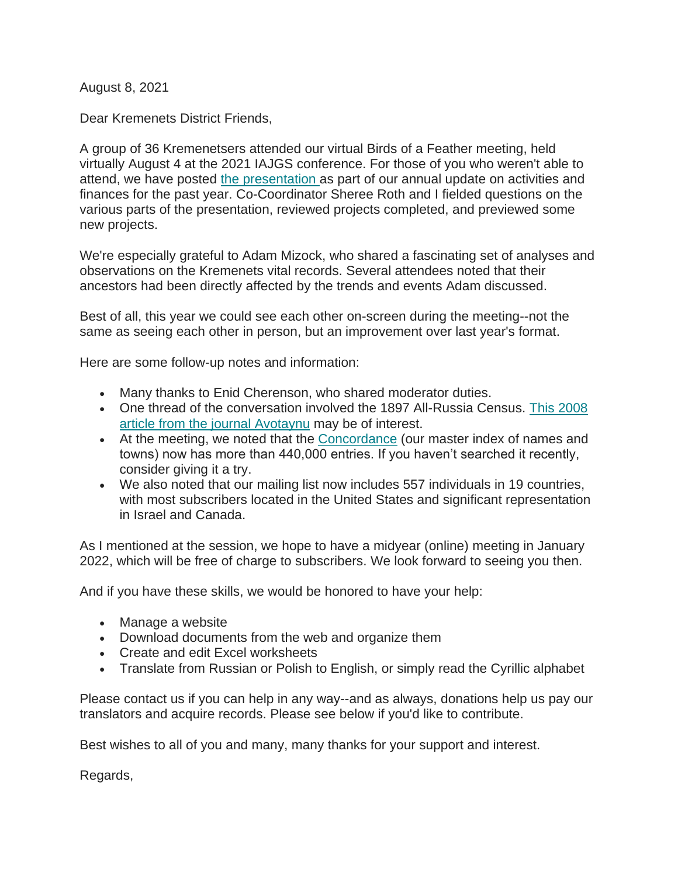August 8, 2021

Dear Kremenets District Friends,

A group of 36 Kremenetsers attended our virtual Birds of a Feather meeting, held virtually August 4 at the 2021 IAJGS conference. For those of you who weren't able to attend, we have posted [the presentation](http://www.kehilalinks.jewishgen.org/Kremenets/web-pages/documents/update%20reports/Presentation-Aug-2021-KDRG-Annual-Meeting-IAJGS.pdf) as part of our annual update on activities and finances for the past year. Co-Coordinator Sheree Roth and I fielded questions on the various parts of the presentation, reviewed projects completed, and previewed some new projects.

We're especially grateful to Adam Mizock, who shared a fascinating set of analyses and observations on the Kremenets vital records. Several attendees noted that their ancestors had been directly affected by the trends and events Adam discussed.

Best of all, this year we could see each other on-screen during the meeting--not the same as seeing each other in person, but an improvement over last year's format.

Here are some follow-up notes and information:

- Many thanks to Enid Cherenson, who shared moderator duties.
- One thread of the conversation involved the 1897 All-Russia Census. [This 2008](https://avotaynuonline.com/2008/10/the-1897-all-empire-russian-census-by-alexander-dunai/)  [article from the journal Avotaynu](https://avotaynuonline.com/2008/10/the-1897-all-empire-russian-census-by-alexander-dunai/) may be of interest.
- At the meeting, we noted that the [Concordance](https://kehilalinks.jewishgen.org/Kremenets/web-pages/master-surnames.html) (our master index of names and towns) now has more than 440,000 entries. If you haven't searched it recently, consider giving it a try.
- We also noted that our mailing list now includes 557 individuals in 19 countries, with most subscribers located in the United States and significant representation in Israel and Canada.

As I mentioned at the session, we hope to have a midyear (online) meeting in January 2022, which will be free of charge to subscribers. We look forward to seeing you then.

And if you have these skills, we would be honored to have your help:

- Manage a website
- Download documents from the web and organize them
- Create and edit Excel worksheets
- Translate from Russian or Polish to English, or simply read the Cyrillic alphabet

Please contact us if you can help in any way--and as always, donations help us pay our translators and acquire records. Please see below if you'd like to contribute.

Best wishes to all of you and many, many thanks for your support and interest.

Regards,